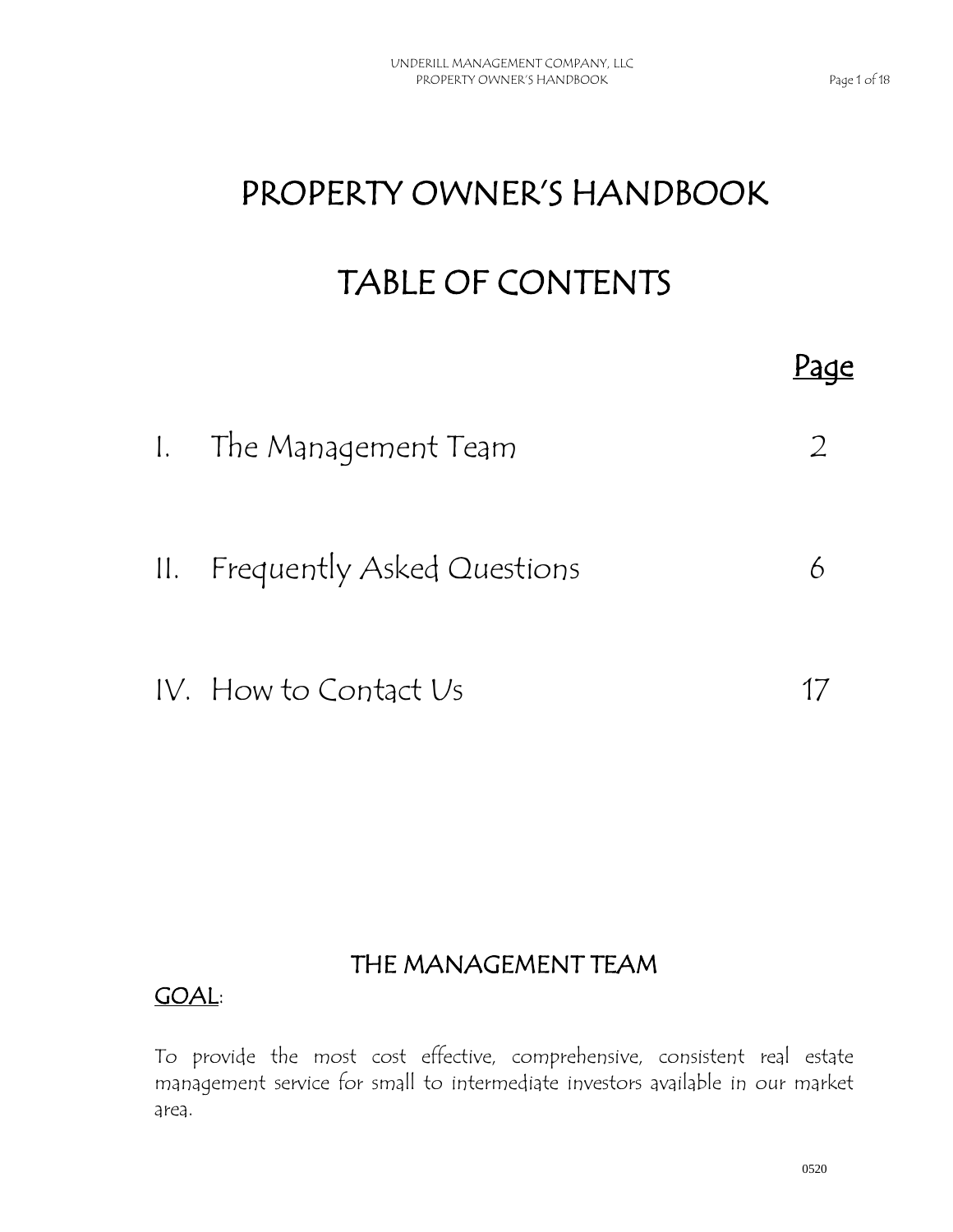Page

# PROPERTY OWNER'S HANDBOOK

## TABLE OF CONTENTS

| 1. The Management Team         |  |
|--------------------------------|--|
| II. Frequently Asked Questions |  |
| IV. How to Contact Us          |  |

## THE MANAGEMENT TEAM

#### GOAL:

To provide the most cost effective, comprehensive, consistent real estate management service for small to intermediate investors available in our market area.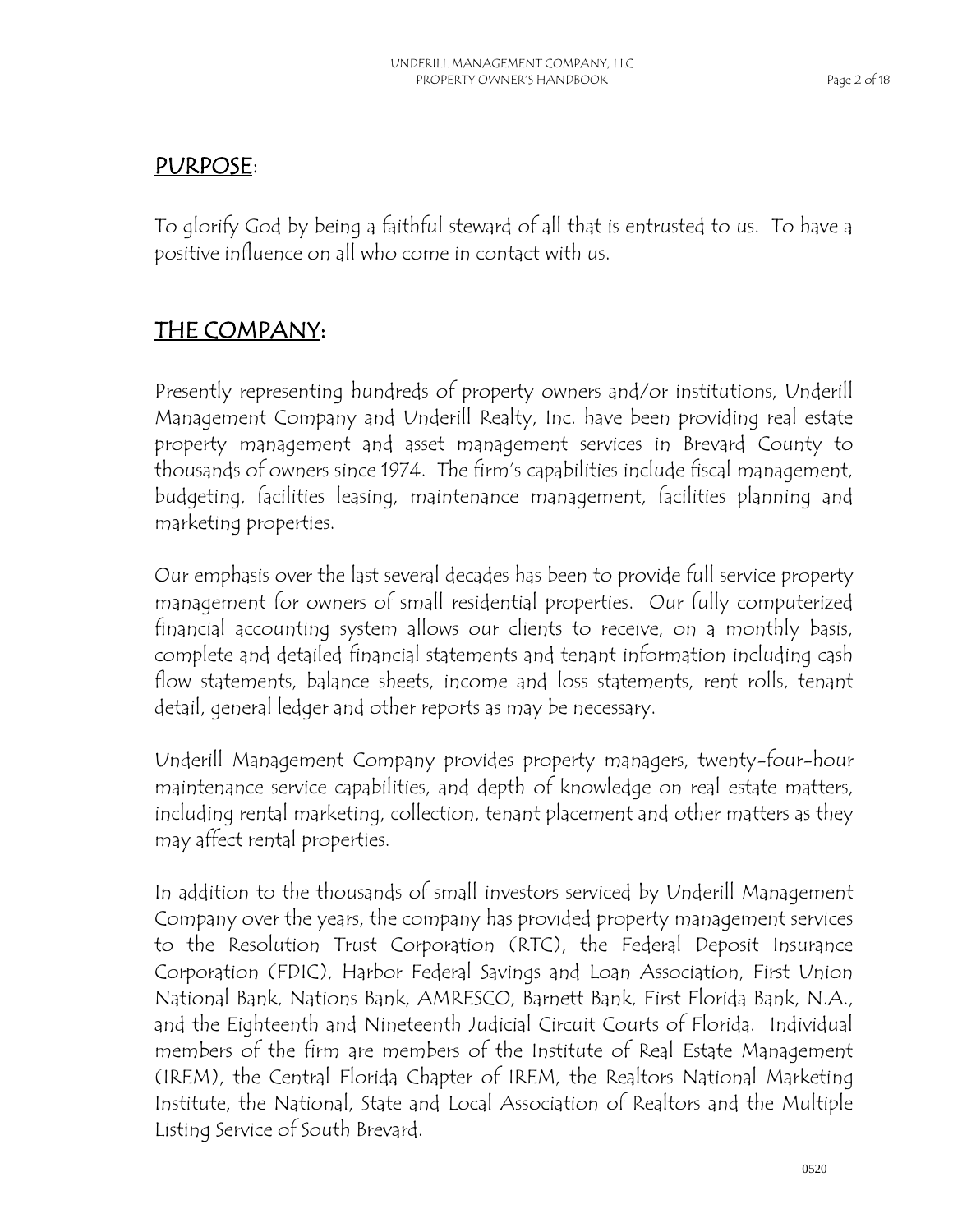#### PURPOSE:

To glorify God by being a faithful steward of all that is entrusted to us. To have a positive influence on all who come in contact with us.

## THE COMPANY:

Presently representing hundreds of property owners and/or institutions, Underill Management Company and Underill Realty, Inc. have been providing real estate property management and asset management services in Brevard County to thousands of owners since 1974. The firm's capabilities include fiscal management, budgeting, facilities leasing, maintenance management, facilities planning and marketing properties.

Our emphasis over the last several decades has been to provide full service property management for owners of small residential properties. Our fully computerized financial accounting system allows our clients to receive, on a monthly basis, complete and detailed financial statements and tenant information including cash flow statements, balance sheets, income and loss statements, rent rolls, tenant detail, general ledger and other reports as may be necessary.

Underill Management Company provides property managers, twenty-four-hour maintenance service capabilities, and depth of knowledge on real estate matters, including rental marketing, collection, tenant placement and other matters as they may affect rental properties.

In addition to the thousands of small investors serviced by Underill Management Company over the years, the company has provided property management services to the Resolution Trust Corporation (RTC), the Federal Deposit Insurance Corporation (FDIC), Harbor Federal Savings and Loan Association, First Union National Bank, Nations Bank, AMRESCO, Barnett Bank, First Florida Bank, N.A., and the Eighteenth and Nineteenth Judicial Circuit Courts of Florida. Individual members of the firm are members of the Institute of Real Estate Management (IREM), the Central Florida Chapter of IREM, the Realtors National Marketing Institute, the National, State and Local Association of Realtors and the Multiple Listing Service of South Brevard.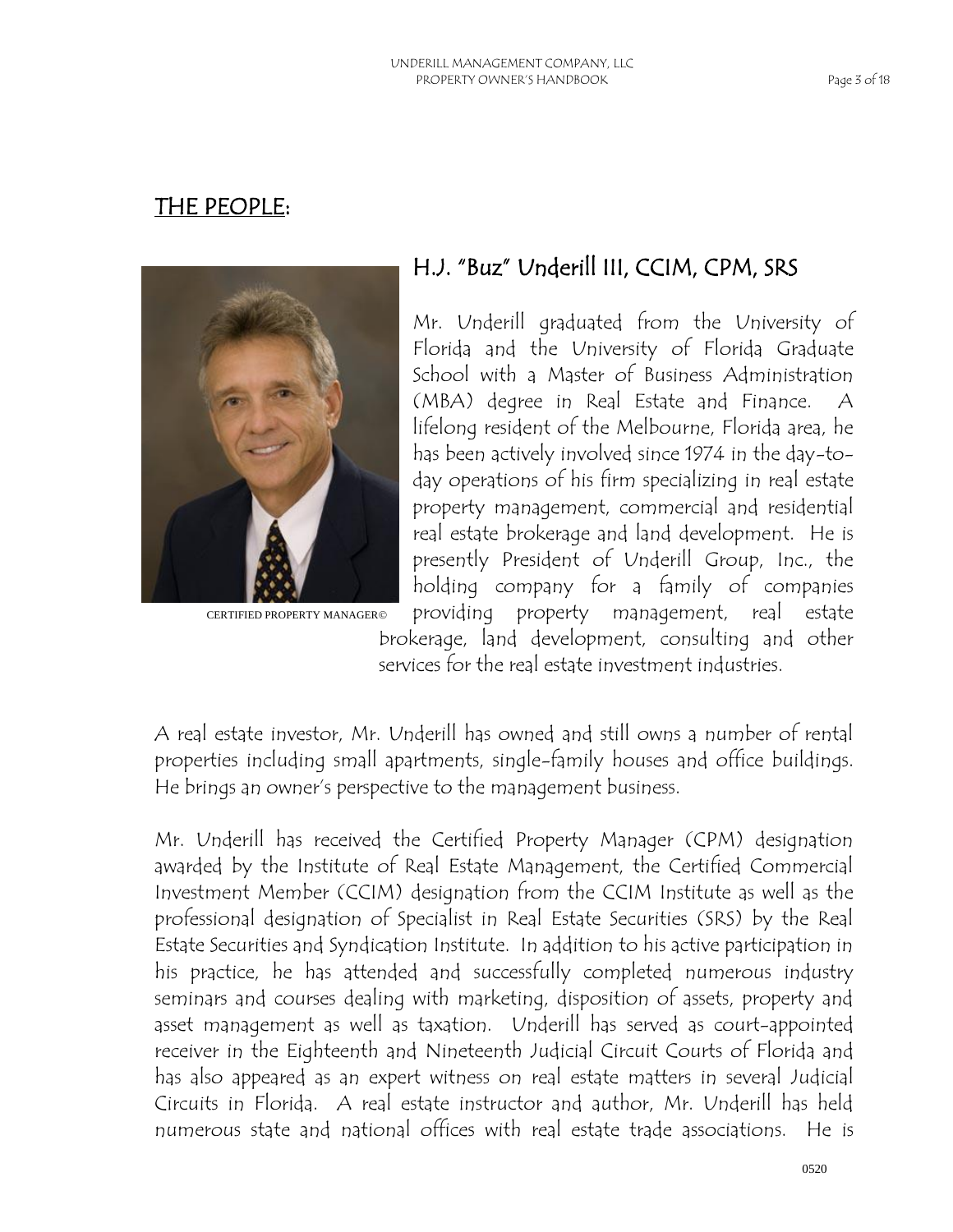#### THE PEOPLE:



CERTIFIED PROPERTY MANAGER©

## H.J. "Buz" Underill III, CCIM, CPM, SRS

Mr. Underill graduated from the University of Florida and the University of Florida Graduate School with a Master of Business Administration (MBA) degree in Real Estate and Finance. A lifelong resident of the Melbourne, Florida area, he has been actively involved since 1974 in the day-today operations of his firm specializing in real estate property management, commercial and residential real estate brokerage and land development. He is presently President of Underill Group, Inc., the holding company for a family of companies providing property management, real estate

brokerage, land development, consulting and other services for the real estate investment industries.

A real estate investor, Mr. Underill has owned and still owns a number of rental properties including small apartments, single-family houses and office buildings. He brings an owner's perspective to the management business.

Mr. Underill has received the Certified Property Manager (CPM) designation awarded by the Institute of Real Estate Management, the Certified Commercial Investment Member (CCIM) designation from the CCIM Institute as well as the professional designation of Specialist in Real Estate Securities (SRS) by the Real Estate Securities and Syndication Institute. In addition to his active participation in his practice, he has attended and successfully completed numerous industry seminars and courses dealing with marketing, disposition of assets, property and asset management as well as taxation. Underill has served as court-appointed receiver in the Eighteenth and Nineteenth Judicial Circuit Courts of Florida and has also appeared as an expert witness on real estate matters in several Judicial Circuits in Florida. A real estate instructor and author, Mr. Underill has held numerous state and national offices with real estate trade associations. He is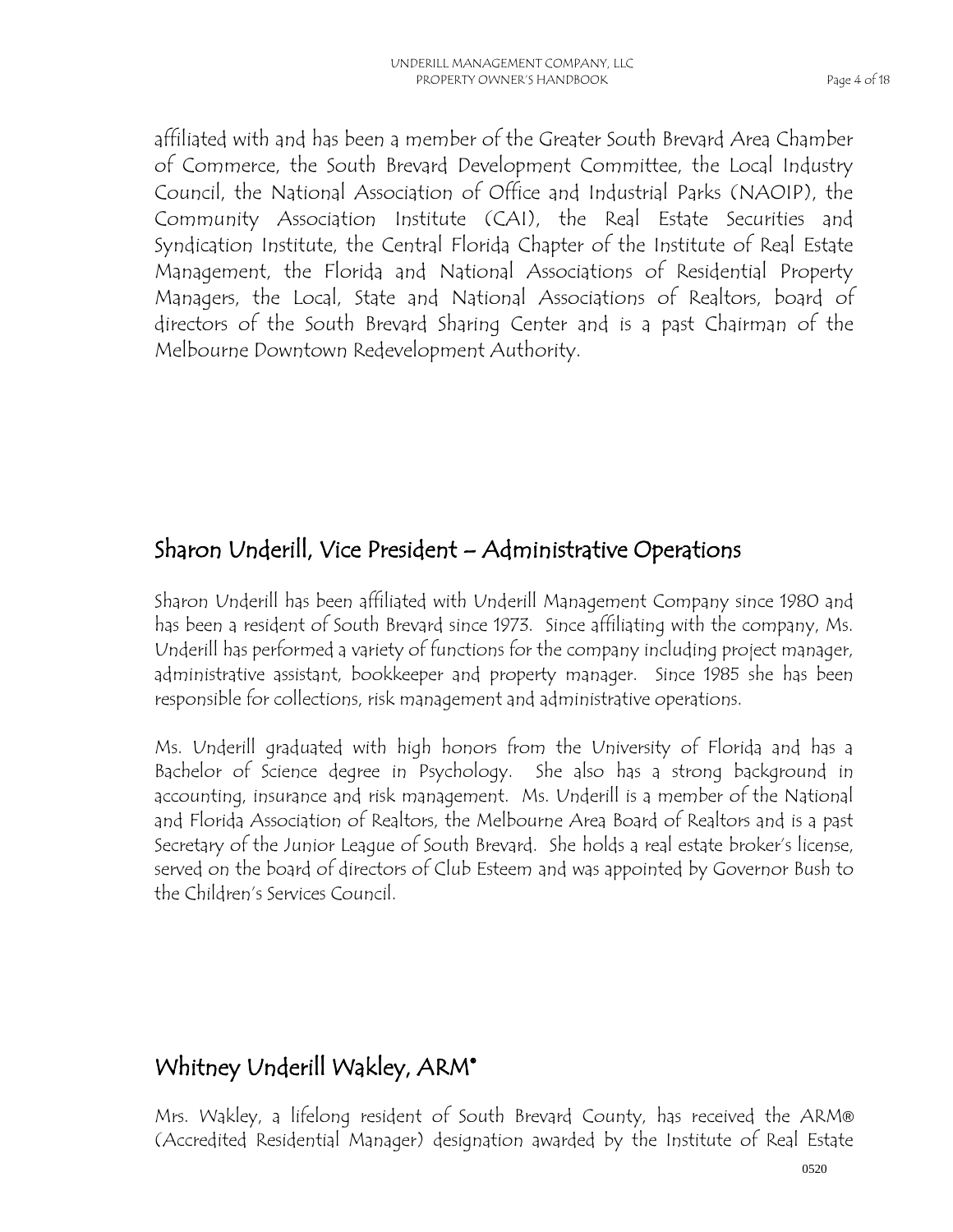affiliated with and has been a member of the Greater South Brevard Area Chamber of Commerce, the South Brevard Development Committee, the Local Industry Council, the National Association of Office and Industrial Parks (NAOIP), the Community Association Institute (CAI), the Real Estate Securities and Syndication Institute, the Central Florida Chapter of the Institute of Real Estate Management, the Florida and National Associations of Residential Property Managers, the Local, State and National Associations of Realtors, board of directors of the South Brevard Sharing Center and is a past Chairman of the Melbourne Downtown Redevelopment Authority.

## Sharon Underill, Vice President – Administrative Operations

Sharon Underill has been affiliated with Underill Management Company since 1980 and has been a resident of South Brevard since 1973. Since affiliating with the company, Ms. Underill has performed a variety of functions for the company including project manager, administrative assistant, bookkeeper and property manager. Since 1985 she has been responsible for collections, risk management and administrative operations.

Ms. Underill graduated with high honors from the University of Florida and has a Bachelor of Science degree in Psychology. She also has a strong background in accounting, insurance and risk management. Ms. Underill is a member of the National and Florida Association of Realtors, the Melbourne Area Board of Realtors and is a past Secretary of the Junior League of South Brevard. She holds a real estate broker's license, served on the board of directors of Club Esteem and was appointed by Governor Bush to the Children's Services Council.

## Whitney Underill Wakley, ARM<sup>®</sup>

Mrs. Wakley, a lifelong resident of South Brevard County, has received the ARM® (Accredited Residential Manager) designation awarded by the Institute of Real Estate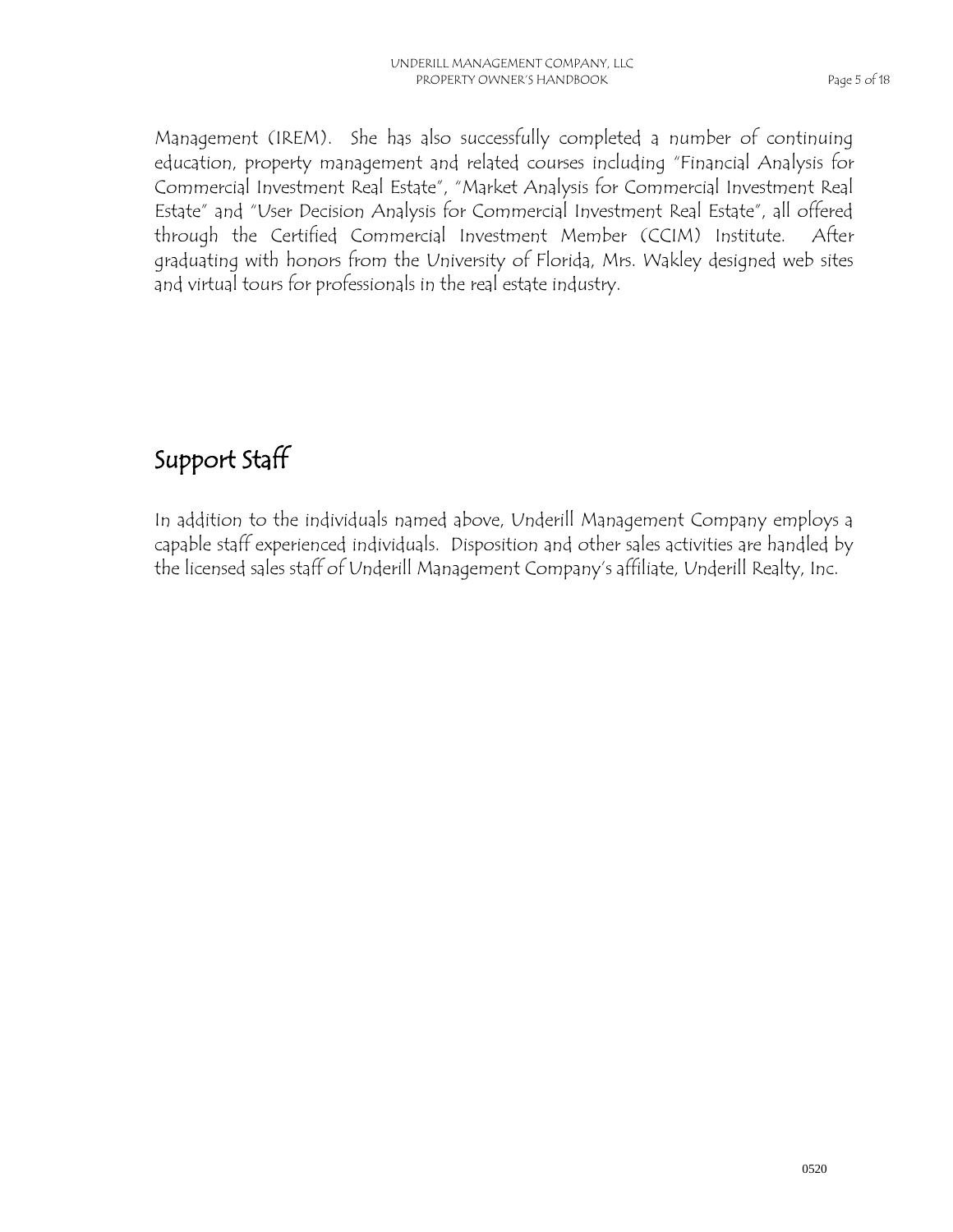Management (IREM). She has also successfully completed a number of continuing education, property management and related courses including "Financial Analysis for Commercial Investment Real Estate", "Market Analysis for Commercial Investment Real Estate" and "User Decision Analysis for Commercial Investment Real Estate", all offered through the Certified Commercial Investment Member (CCIM) Institute. After graduating with honors from the University of Florida, Mrs. Wakley designed web sites and virtual tours for professionals in the real estate industry.

## Support Staff

In addition to the individuals named above, Underill Management Company employs a capable staff experienced individuals. Disposition and other sales activities are handled by the licensed sales staff of Underill Management Company's affiliate, Underill Realty, Inc.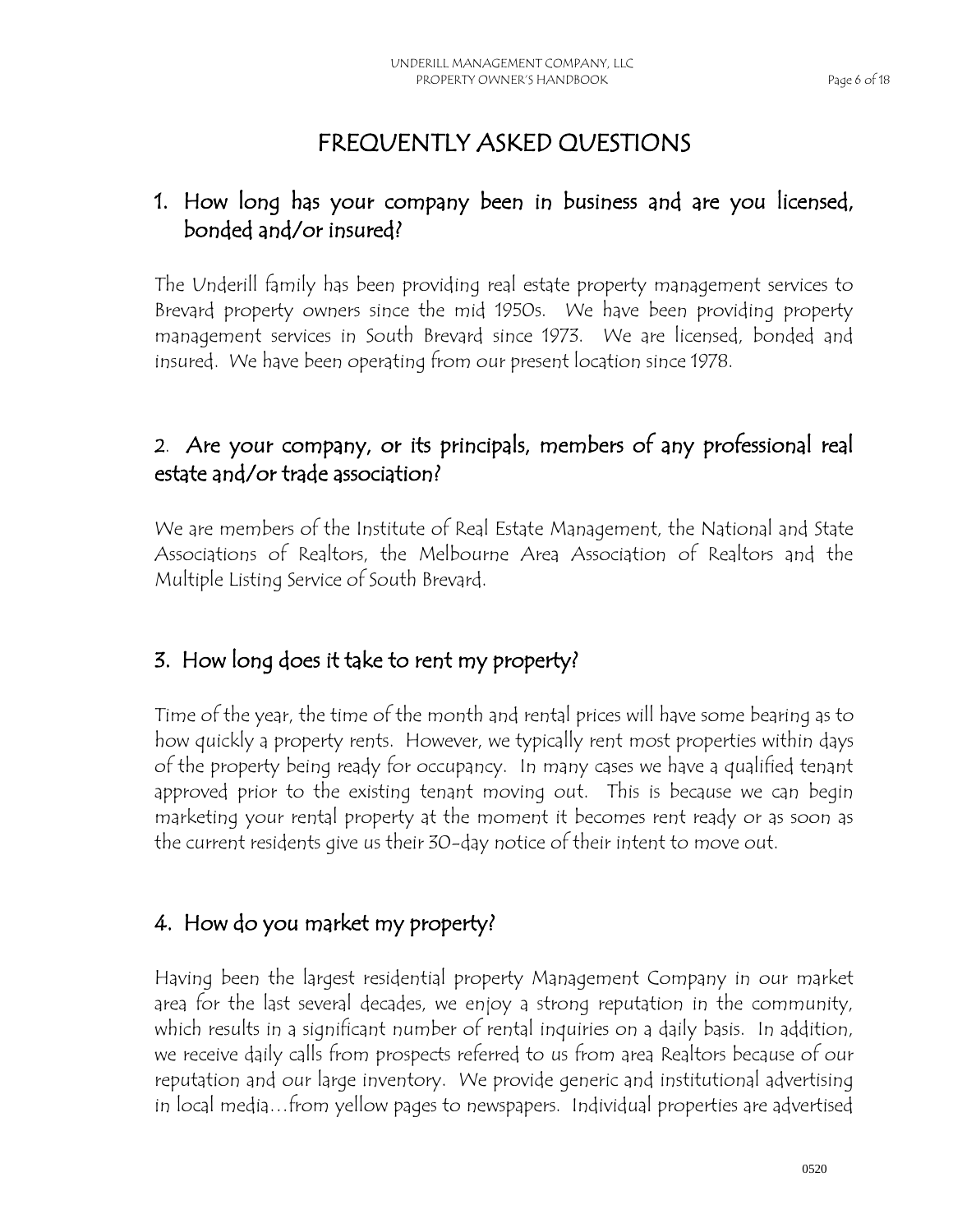## FREQUENTLY ASKED QUESTIONS

#### 1. How long has your company been in business and are you licensed, bonded and/or insured?

The Underill family has been providing real estate property management services to Brevard property owners since the mid 1950s. We have been providing property management services in South Brevard since 1973. We are licensed, bonded and insured. We have been operating from our present location since 1978.

#### 2. Are your company, or its principals, members of any professional real estate and/or trade association?

We are members of the Institute of Real Estate Management, the National and State Associations of Realtors, the Melbourne Area Association of Realtors and the Multiple Listing Service of South Brevard.

#### 3. How long does it take to rent my property?

Time of the year, the time of the month and rental prices will have some bearing as to how quickly a property rents. However, we typically rent most properties within days of the property being ready for occupancy. In many cases we have a qualified tenant approved prior to the existing tenant moving out. This is because we can begin marketing your rental property at the moment it becomes rent ready or as soon as the current residents give us their 30-day notice of their intent to move out.

#### 4. How do you market my property?

Having been the largest residential property Management Company in our market area for the last several decades, we enjoy a strong reputation in the community, which results in a significant number of rental inquiries on a daily basis. In addition, we receive daily calls from prospects referred to us from area Realtors because of our reputation and our large inventory. We provide generic and institutional advertising in local media…from yellow pages to newspapers. Individual properties are advertised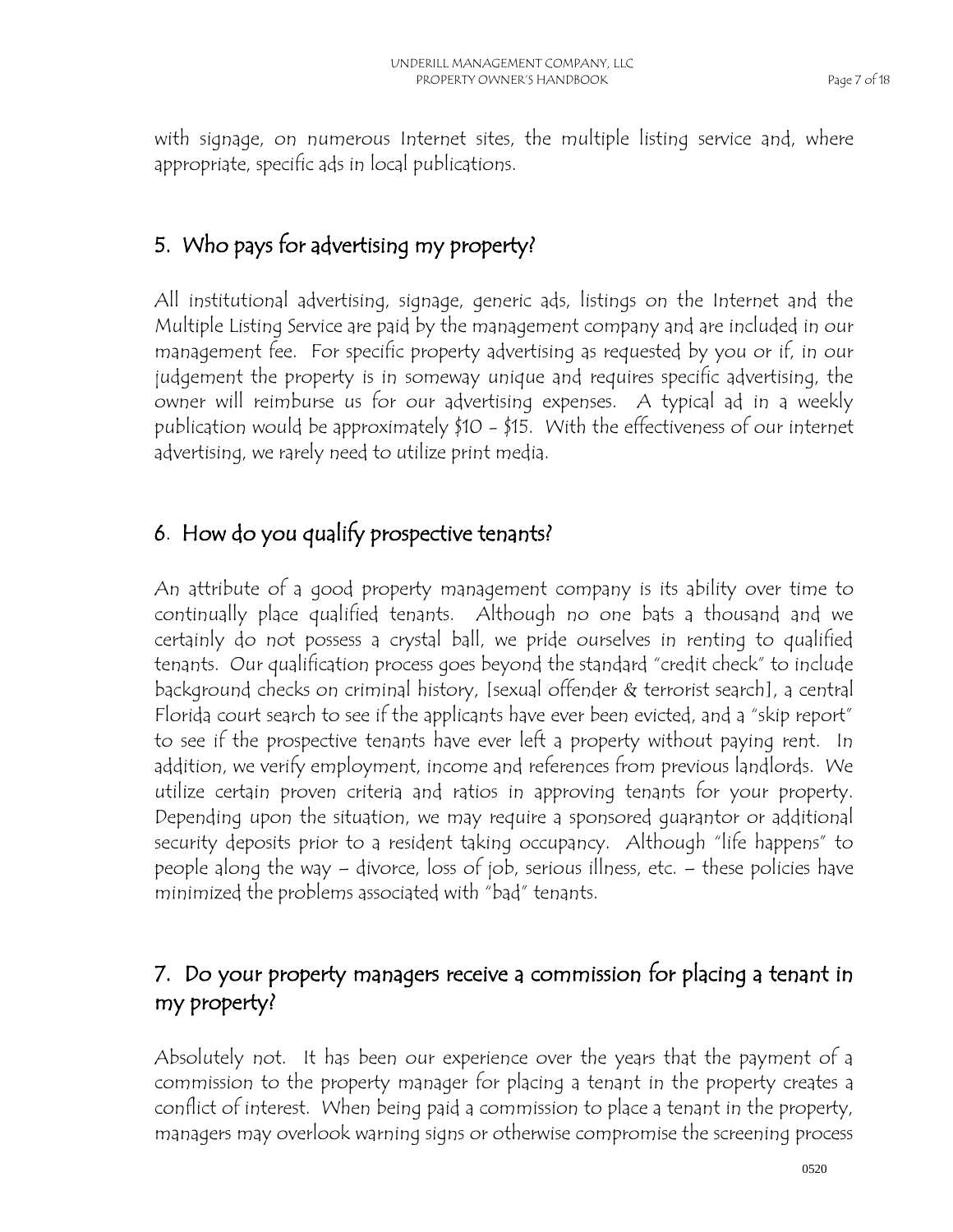with signage, on numerous Internet sites, the multiple listing service and, where appropriate, specific ads in local publications.

## 5. Who pays for advertising my property?

All institutional advertising, signage, generic ads, listings on the Internet and the Multiple Listing Service are paid by the management company and are included in our management fee. For specific property advertising as requested by you or if, in our judgement the property is in someway unique and requires specific advertising, the owner will reimburse us for our advertising expenses. A typical ad in a weekly publication would be approximately \$10 - \$15. With the effectiveness of our internet advertising, we rarely need to utilize print media.

#### 6. How do you qualify prospective tenants?

An attribute of a good property management company is its ability over time to continually place qualified tenants. Although no one bats a thousand and we certainly do not possess a crystal ball, we pride ourselves in renting to qualified tenants. Our qualification process goes beyond the standard "credit check" to include background checks on criminal history, [sexual offender & terrorist search], a central Florida court search to see if the applicants have ever been evicted, and a "skip report" to see if the prospective tenants have ever left a property without paying rent. In addition, we verify employment, income and references from previous landlords. We utilize certain proven criteria and ratios in approving tenants for your property. Depending upon the situation, we may require a sponsored guarantor or additional security deposits prior to a resident taking occupancy. Although "life happens" to people along the way – divorce, loss of job, serious illness, etc. – these policies have minimized the problems associated with "bad" tenants.

#### 7. Do your property managers receive a commission for placing a tenant in my property?

Absolutely not. It has been our experience over the years that the payment of a commission to the property manager for placing a tenant in the property creates a conflict of interest. When being paid a commission to place a tenant in the property, managers may overlook warning signs or otherwise compromise the screening process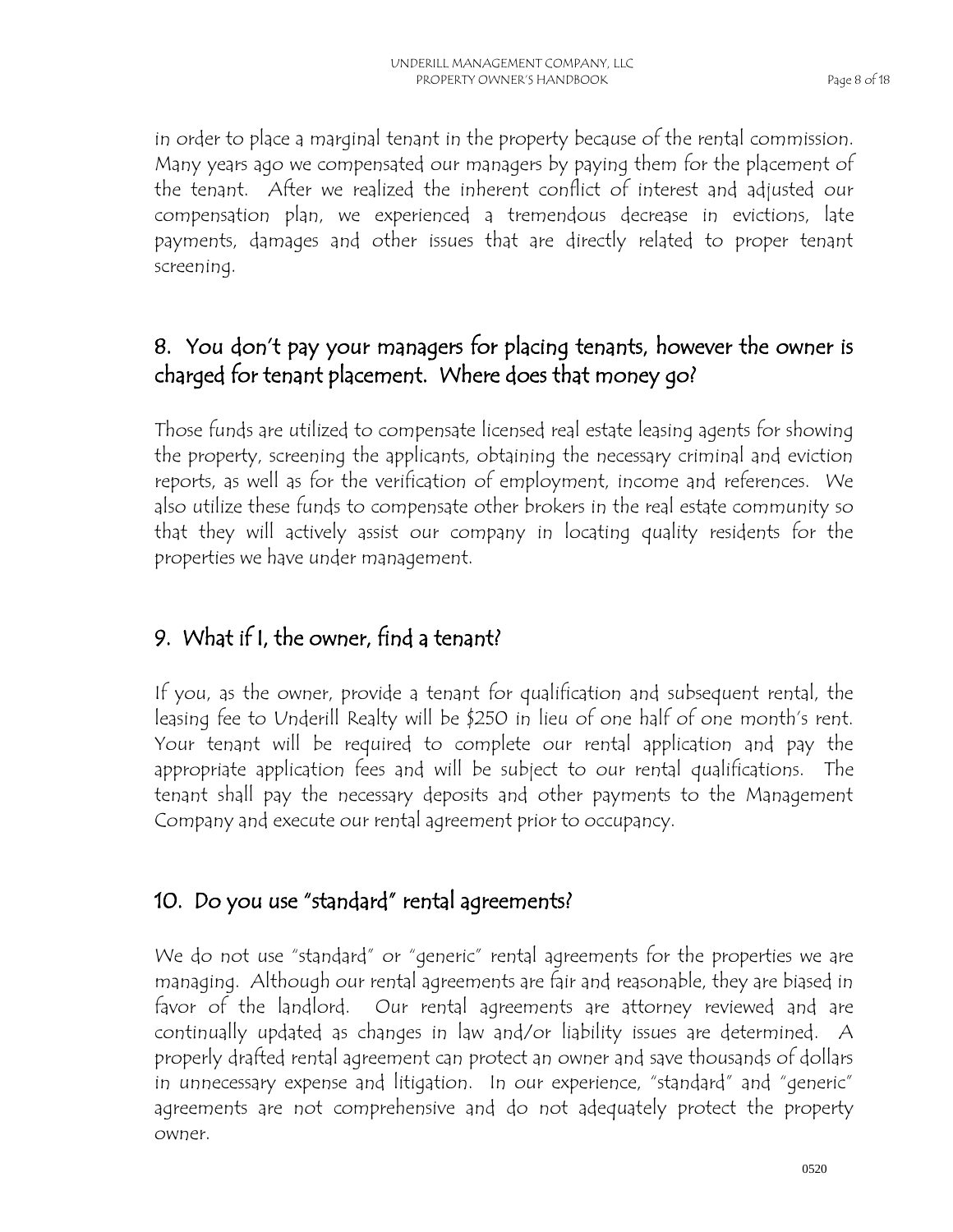in order to place a marginal tenant in the property because of the rental commission. Many years ago we compensated our managers by paying them for the placement of the tenant. After we realized the inherent conflict of interest and adjusted our compensation plan, we experienced a tremendous decrease in evictions, late payments, damages and other issues that are directly related to proper tenant screening.

#### 8. You don't pay your managers for placing tenants, however the owner is charged for tenant placement. Where does that money go?

Those funds are utilized to compensate licensed real estate leasing agents for showing the property, screening the applicants, obtaining the necessary criminal and eviction reports, as well as for the verification of employment, income and references. We also utilize these funds to compensate other brokers in the real estate community so that they will actively assist our company in locating quality residents for the properties we have under management.

## 9. What if I, the owner, find a tenant?

If you, as the owner, provide a tenant for qualification and subsequent rental, the leasing fee to Underill Realty will be \$250 in lieu of one half of one month's rent. Your tenant will be required to complete our rental application and pay the appropriate application fees and will be subject to our rental qualifications. The tenant shall pay the necessary deposits and other payments to the Management Company and execute our rental agreement prior to occupancy.

## 10. Do you use "standard" rental agreements?

We do not use "standard" or "generic" rental agreements for the properties we are managing. Although our rental agreements are fair and reasonable, they are biased in favor of the landlord. Our rental agreements are attorney reviewed and are continually updated as changes in law and/or liability issues are determined. A properly drafted rental agreement can protect an owner and save thousands of dollars in unnecessary expense and litigation. In our experience, "standard" and "generic" agreements are not comprehensive and do not adequately protect the property owner.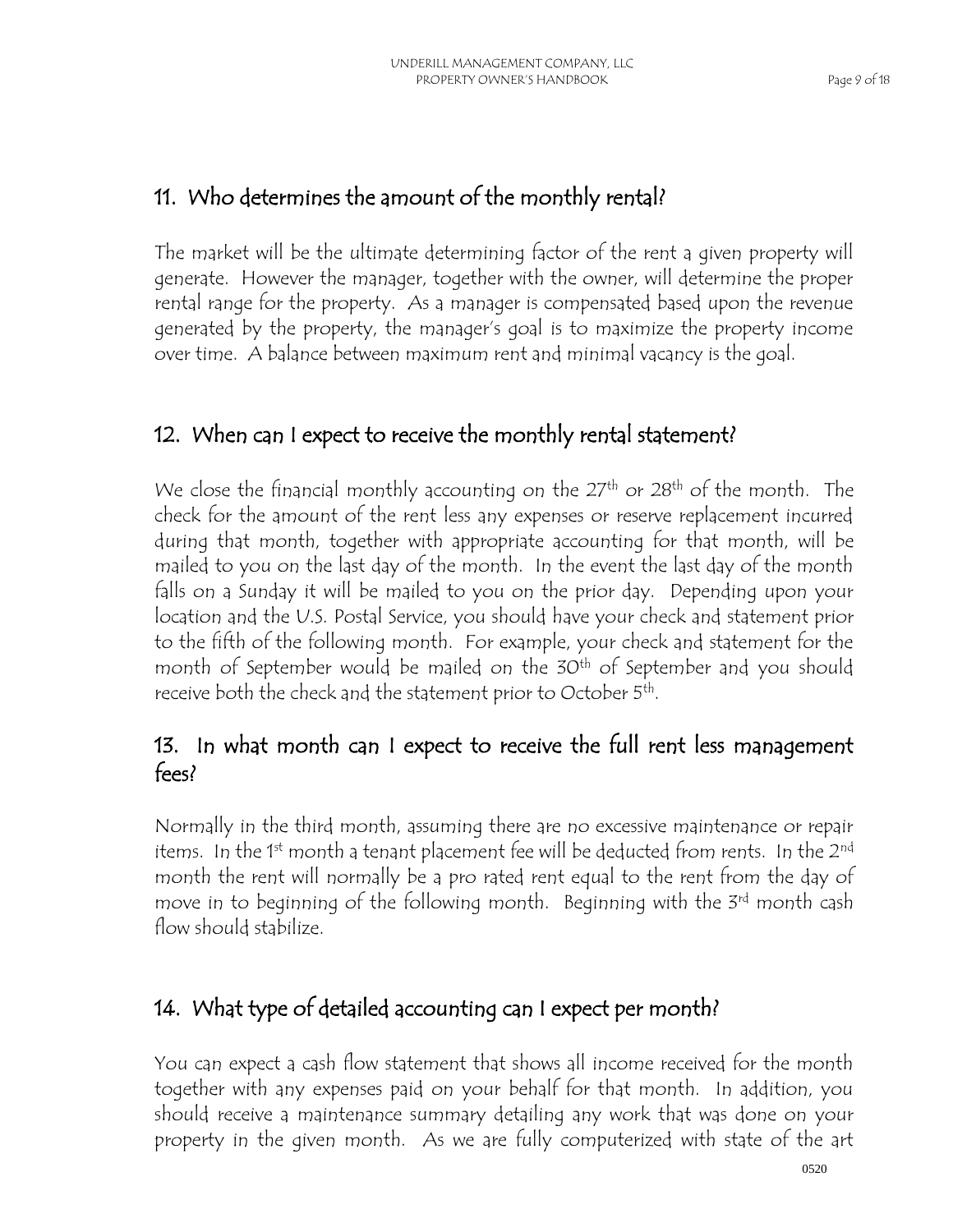## 11. Who determines the amount of the monthly rental?

The market will be the ultimate determining factor of the rent a given property will generate. However the manager, together with the owner, will determine the proper rental range for the property. As a manager is compensated based upon the revenue generated by the property, the manager's goal is to maximize the property income over time. A balance between maximum rent and minimal vacancy is the goal.

## 12. When can I expect to receive the monthly rental statement?

We close the financial monthly accounting on the 27<sup>th</sup> or 28<sup>th</sup> of the month. The check for the amount of the rent less any expenses or reserve replacement incurred during that month, together with appropriate accounting for that month, will be mailed to you on the last day of the month. In the event the last day of the month falls on a Sunday it will be mailed to you on the prior day. Depending upon your location and the U.S. Postal Service, you should have your check and statement prior to the fifth of the following month. For example, your check and statement for the month of September would be mailed on the 30<sup>th</sup> of September and you should receive both the check and the statement prior to October 5 $^{\rm th}$ .

## 13. In what month can I expect to receive the full rent less management fees?

Normally in the third month, assuming there are no excessive maintenance or repair items. In the 1<sup>st</sup> month a tenant placement fee will be deducted from rents. In the 2<sup>nd</sup> month the rent will normally be a pro rated rent equal to the rent from the day of move in to beginning of the following month. Beginning with the 3rd month cash flow should stabilize.

## 14. What type of detailed accounting can I expect per month?

You can expect a cash flow statement that shows all income received for the month together with any expenses paid on your behalf for that month. In addition, you should receive a maintenance summary detailing any work that was done on your property in the given month. As we are fully computerized with state of the art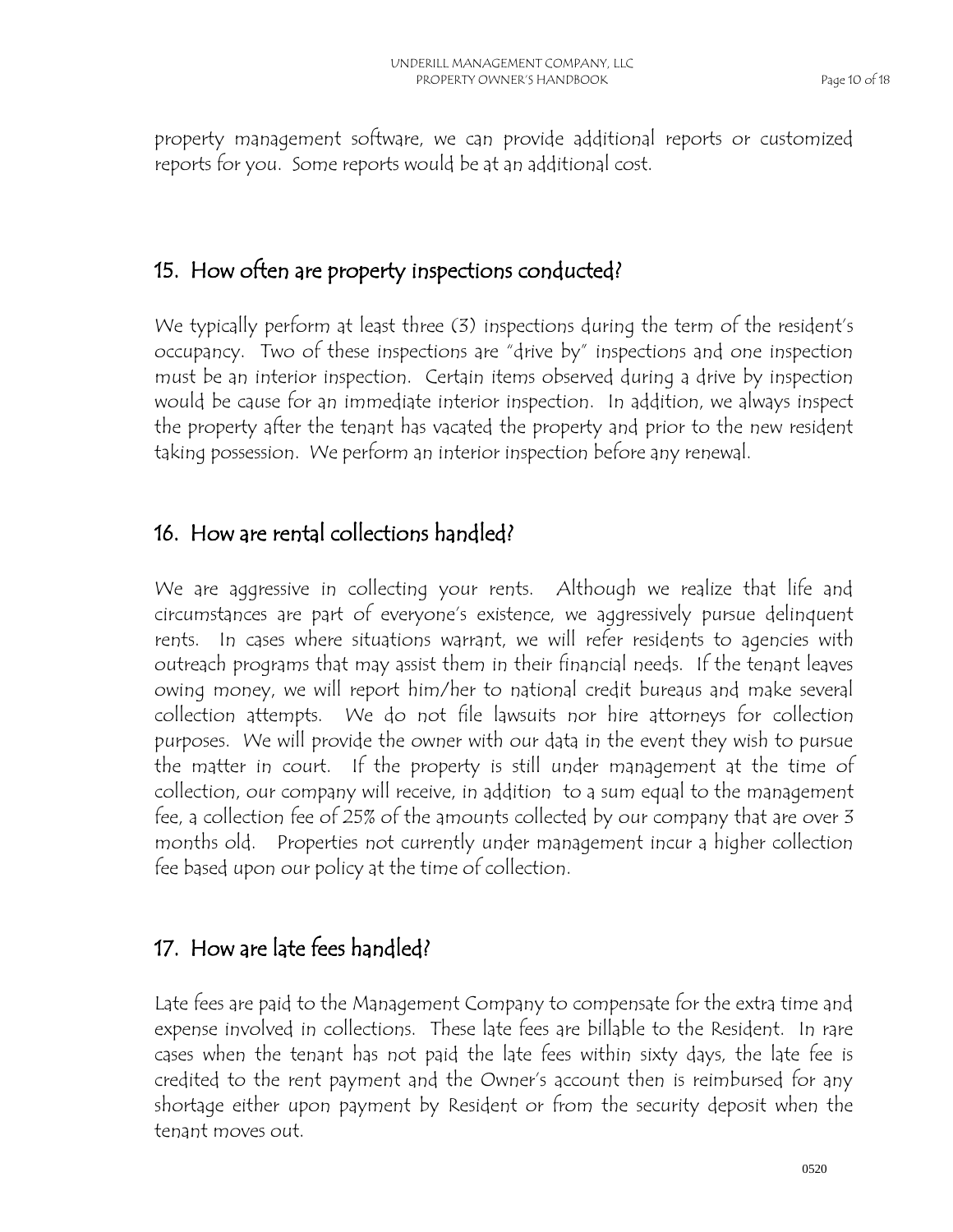property management software, we can provide additional reports or customized reports for you. Some reports would be at an additional cost.

#### 15. How often are property inspections conducted?

We typically perform at least three (3) inspections during the term of the resident's occupancy. Two of these inspections are "drive by" inspections and one inspection must be an interior inspection. Certain items observed during a drive by inspection would be cause for an immediate interior inspection. In addition, we always inspect the property after the tenant has vacated the property and prior to the new resident taking possession. We perform an interior inspection before any renewal.

#### 16. How are rental collections handled?

We are aggressive in collecting your rents. Although we realize that life and circumstances are part of everyone's existence, we aggressively pursue delinquent rents. In cases where situations warrant, we will refer residents to agencies with outreach programs that may assist them in their financial needs. If the tenant leaves owing money, we will report him/her to national credit bureaus and make several collection attempts. We do not file lawsuits nor hire attorneys for collection purposes. We will provide the owner with our data in the event they wish to pursue the matter in court. If the property is still under management at the time of collection, our company will receive, in addition to a sum equal to the management fee, a collection fee of 25% of the amounts collected by our company that are over 3 months old. Properties not currently under management incur a higher collection fee based upon our policy at the time of collection.

## 17. How are late fees handled?

Late fees are paid to the Management Company to compensate for the extra time and expense involved in collections. These late fees are billable to the Resident. In rare cases when the tenant has not paid the late fees within sixty days, the late fee is credited to the rent payment and the Owner's account then is reimbursed for any shortage either upon payment by Resident or from the security deposit when the tenant moves out.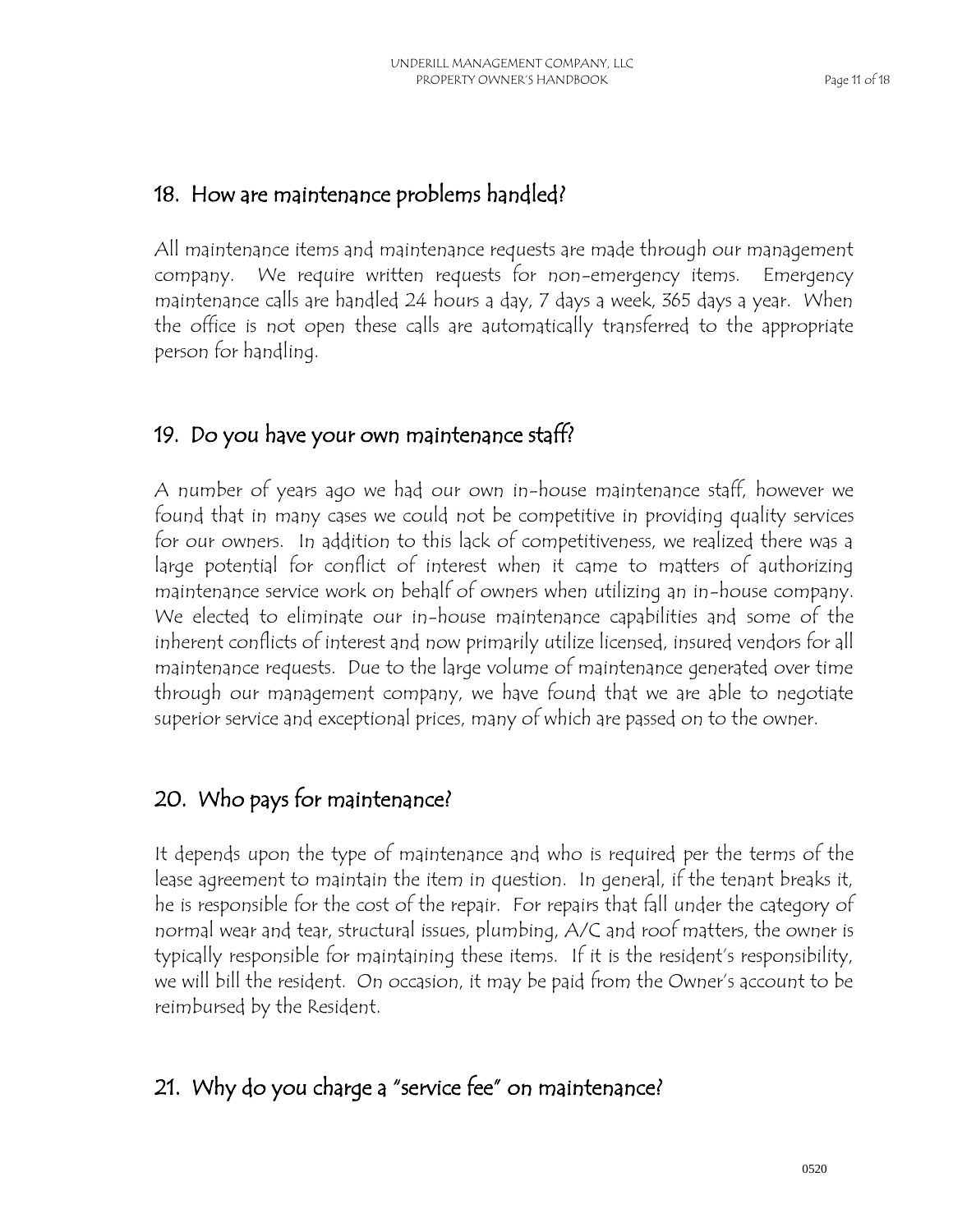#### 18. How are maintenance problems handled?

All maintenance items and maintenance requests are made through our management company. We require written requests for non-emergency items. Emergency maintenance calls are handled 24 hours a day, 7 days a week, 365 days a year. When the office is not open these calls are automatically transferred to the appropriate person for handling.

## 19. Do you have your own maintenance staff?

A number of years ago we had our own in-house maintenance staff, however we found that in many cases we could not be competitive in providing quality services for our owners. In addition to this lack of competitiveness, we realized there was a large potential for conflict of interest when it came to matters of authorizing maintenance service work on behalf of owners when utilizing an in-house company. We elected to eliminate our in-house maintenance capabilities and some of the inherent conflicts of interest and now primarily utilize licensed, insured vendors for all maintenance requests. Due to the large volume of maintenance generated over time through our management company, we have found that we are able to negotiate superior service and exceptional prices, many of which are passed on to the owner.

## 20. Who pays for maintenance?

It depends upon the type of maintenance and who is required per the terms of the lease agreement to maintain the item in question. In general, if the tenant breaks it, he is responsible for the cost of the repair. For repairs that fall under the category of normal wear and tear, structural issues, plumbing, A/C and roof matters, the owner is typically responsible for maintaining these items. If it is the resident's responsibility, we will bill the resident. On occasion, it may be paid from the Owner's account to be reimbursed by the Resident.

## 21. Why do you charge a "service fee" on maintenance?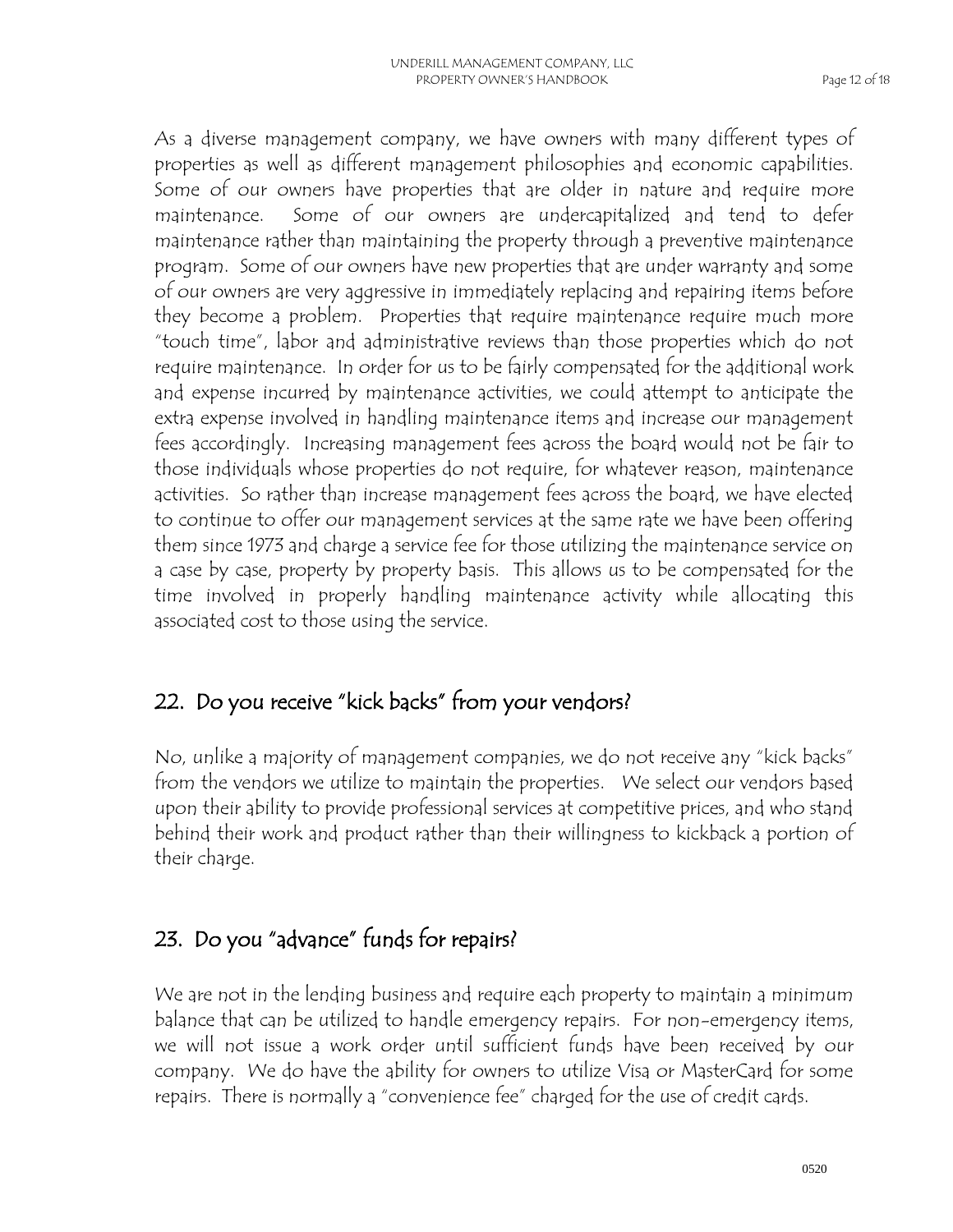As a diverse management company, we have owners with many different types of properties as well as different management philosophies and economic capabilities. Some of our owners have properties that are older in nature and require more maintenance. Some of our owners are undercapitalized and tend to defer maintenance rather than maintaining the property through a preventive maintenance program. Some of our owners have new properties that are under warranty and some of our owners are very aggressive in immediately replacing and repairing items before they become a problem. Properties that require maintenance require much more "touch time", labor and administrative reviews than those properties which do not require maintenance. In order for us to be fairly compensated for the additional work and expense incurred by maintenance activities, we could attempt to anticipate the extra expense involved in handling maintenance items and increase our management fees accordingly. Increasing management fees across the board would not be fair to those individuals whose properties do not require, for whatever reason, maintenance activities. So rather than increase management fees across the board, we have elected to continue to offer our management services at the same rate we have been offering them since 1973 and charge a service fee for those utilizing the maintenance service on a case by case, property by property basis. This allows us to be compensated for the time involved in properly handling maintenance activity while allocating this associated cost to those using the service.

#### 22. Do you receive "kick backs" from your vendors?

No, unlike a majority of management companies, we do not receive any "kick backs" from the vendors we utilize to maintain the properties. We select our vendors based upon their ability to provide professional services at competitive prices, and who stand behind their work and product rather than their willingness to kickback a portion of their charge.

#### 23. Do you "advance" funds for repairs?

We are not in the lending business and require each property to maintain a minimum balance that can be utilized to handle emergency repairs. For non-emergency items, we will not issue a work order until sufficient funds have been received by our company. We do have the ability for owners to utilize Visa or MasterCard for some repairs. There is normally a "convenience fee" charged for the use of credit cards.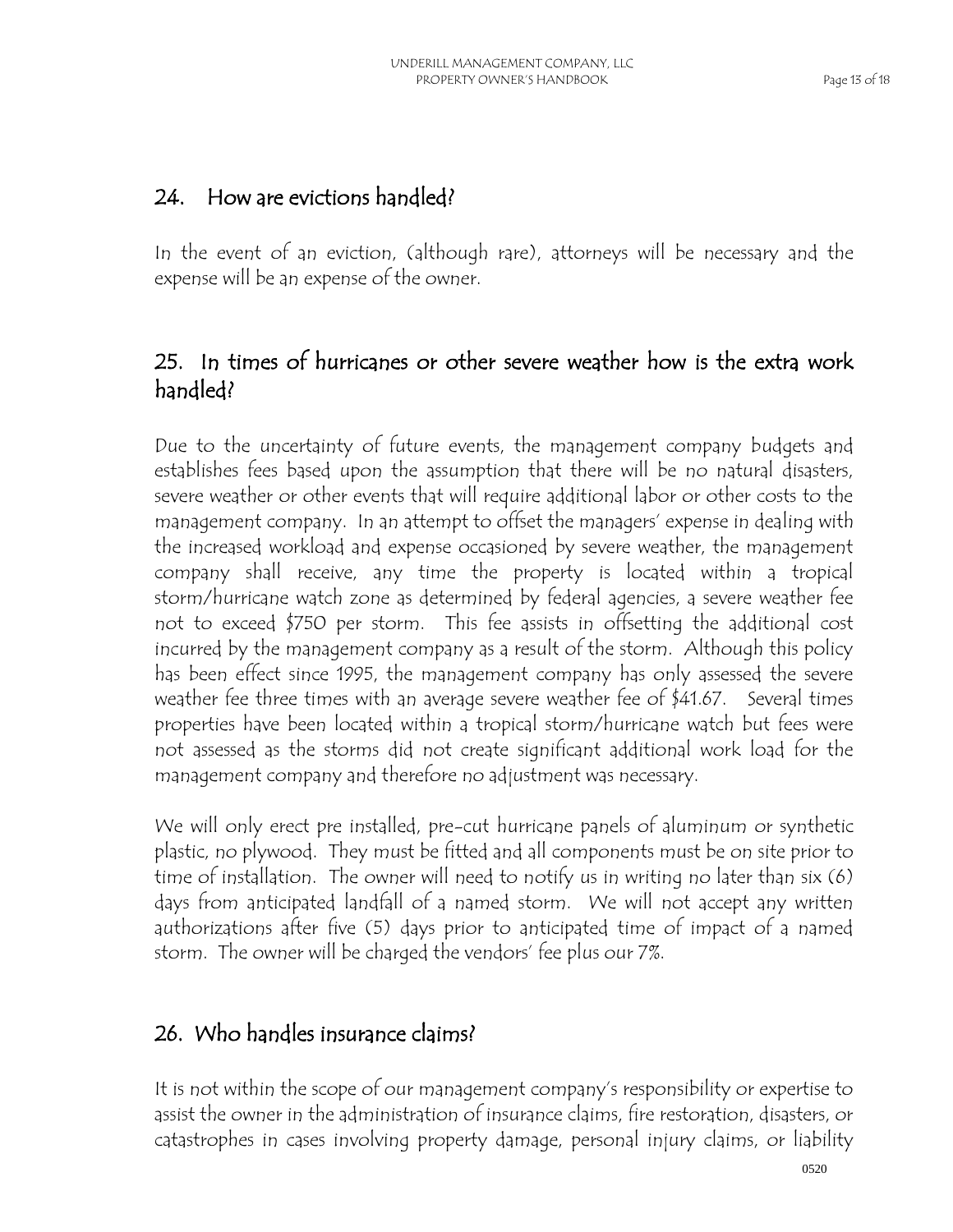#### 24. How are evictions handled?

In the event of an eviction, (although rare), attorneys will be necessary and the expense will be an expense of the owner.

## 25. In times of hurricanes or other severe weather how is the extra work handled?

Due to the uncertainty of future events, the management company budgets and establishes fees based upon the assumption that there will be no natural disasters, severe weather or other events that will require additional labor or other costs to the management company. In an attempt to offset the managers' expense in dealing with the increased workload and expense occasioned by severe weather, the management company shall receive, any time the property is located within a tropical storm/hurricane watch zone as determined by federal agencies, a severe weather fee not to exceed \$750 per storm. This fee assists in offsetting the additional cost incurred by the management company as a result of the storm. Although this policy has been effect since 1995, the management company has only assessed the severe weather fee three times with an average severe weather fee of \$41.67. Several times properties have been located within a tropical storm/hurricane watch but fees were not assessed as the storms did not create significant additional work load for the management company and therefore no adjustment was necessary.

We will only erect pre installed, pre-cut hurricane panels of aluminum or synthetic plastic, no plywood. They must be fitted and all components must be on site prior to time of installation. The owner will need to notify us in writing no later than six (6) days from anticipated landfall of a named storm. We will not accept any written authorizations after five (5) days prior to anticipated time of impact of a named storm. The owner will be charged the vendors' fee plus our 7%.

#### 26. Who handles insurance claims?

It is not within the scope of our management company's responsibility or expertise to assist the owner in the administration of insurance claims, fire restoration, disasters, or catastrophes in cases involving property damage, personal injury claims, or liability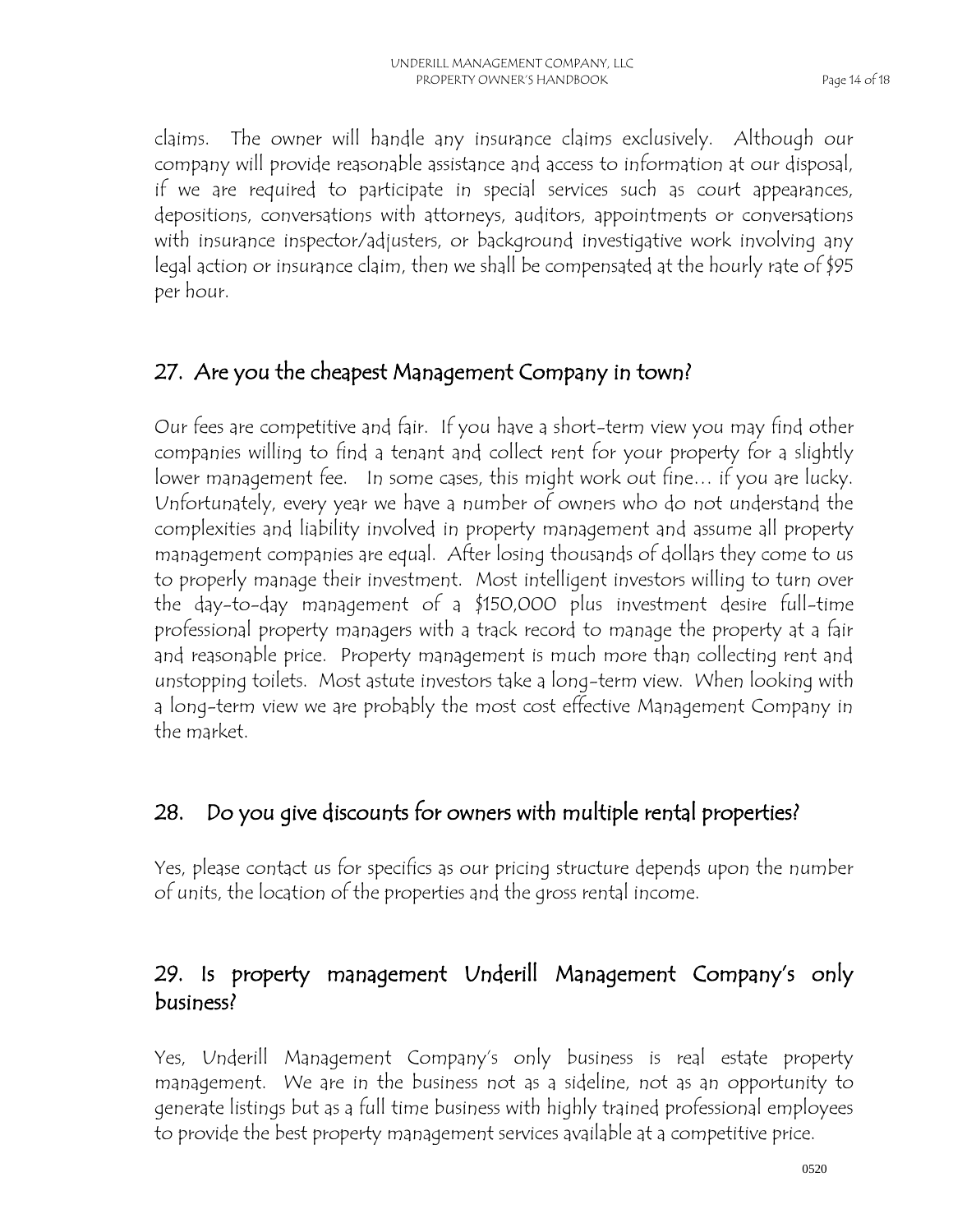claims. The owner will handle any insurance claims exclusively. Although our company will provide reasonable assistance and access to information at our disposal, if we are required to participate in special services such as court appearances, depositions, conversations with attorneys, auditors, appointments or conversations with insurance inspector/adjusters, or background investigative work involving any legal action or insurance claim, then we shall be compensated at the hourly rate of \$95 per hour.

#### 27. Are you the cheapest Management Company in town?

Our fees are competitive and fair. If you have a short-term view you may find other companies willing to find a tenant and collect rent for your property for a slightly lower management fee. In some cases, this might work out fine… if you are lucky. Unfortunately, every year we have a number of owners who do not understand the complexities and liability involved in property management and assume all property management companies are equal. After losing thousands of dollars they come to us to properly manage their investment. Most intelligent investors willing to turn over the day-to-day management of a \$150,000 plus investment desire full-time professional property managers with a track record to manage the property at a fair and reasonable price. Property management is much more than collecting rent and unstopping toilets. Most astute investors take a long-term view. When looking with a long-term view we are probably the most cost effective Management Company in the market.

## 28. Do you give discounts for owners with multiple rental properties?

Yes, please contact us for specifics as our pricing structure depends upon the number of units, the location of the properties and the gross rental income.

#### 29. Is property management Underill Management Company's only business?

Yes, Underill Management Company's only business is real estate property management. We are in the business not as a sideline, not as an opportunity to generate listings but as a full time business with highly trained professional employees to provide the best property management services available at a competitive price.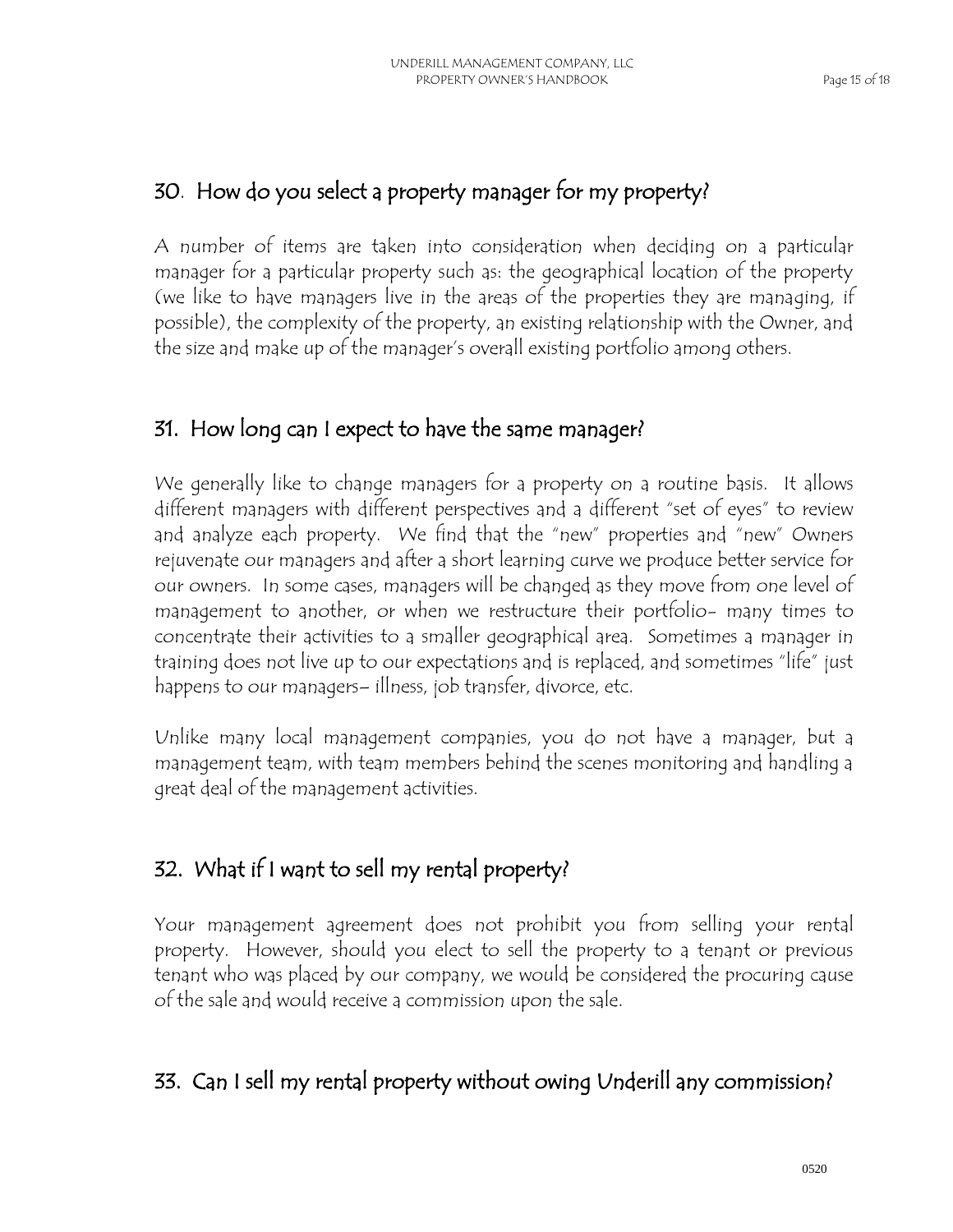#### 30. How do you select a property manager for my property?

A number of items are taken into consideration when deciding on a particular manager for a particular property such as: the geographical location of the property (we like to have managers live in the areas of the properties they are managing, if possible), the complexity of the property, an existing relationship with the Owner, and the size and make up of the manager's overall existing portfolio among others.

## 31. How long can I expect to have the same manager?

We generally like to change managers for a property on a routine basis. It allows different managers with different perspectives and a different "set of eyes" to review and analyze each property. We find that the "new" properties and "new" Owners rejuvenate our managers and after a short learning curve we produce better service for our owners. In some cases, managers will be changed as they move from one level of management to another, or when we restructure their portfolio- many times to concentrate their activities to a smaller geographical area. Sometimes a manager in training does not live up to our expectations and is replaced, and sometimes "life" just happens to our managers– illness, job transfer, divorce, etc.

Unlike many local management companies, you do not have a manager, but a management team, with team members behind the scenes monitoring and handling a great deal of the management activities.

## 32. What if I want to sell my rental property?

Your management agreement does not prohibit you from selling your rental property. However, should you elect to sell the property to a tenant or previous tenant who was placed by our company, we would be considered the procuring cause of the sale and would receive a commission upon the sale.

#### 33. Can I sell my rental property without owing Underill any commission?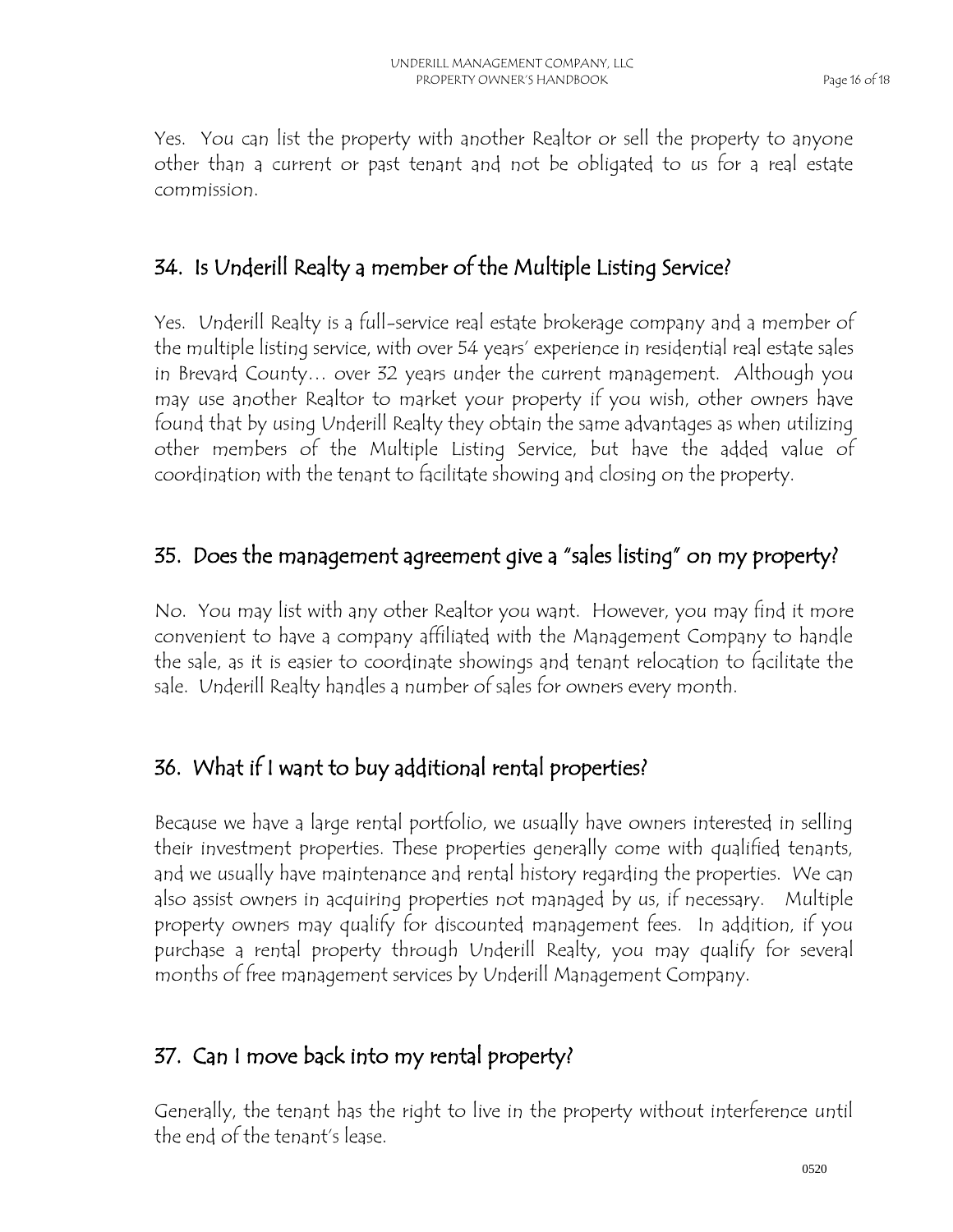Yes. You can list the property with another Realtor or sell the property to anyone other than a current or past tenant and not be obligated to us for a real estate commission.

## 34. Is Underill Realty a member of the Multiple Listing Service?

Yes. Underill Realty is a full-service real estate brokerage company and a member of the multiple listing service, with over 54 years' experience in residential real estate sales in Brevard County… over 32 years under the current management. Although you may use another Realtor to market your property if you wish, other owners have found that by using Underill Realty they obtain the same advantages as when utilizing other members of the Multiple Listing Service, but have the added value of coordination with the tenant to facilitate showing and closing on the property.

#### 35. Does the management agreement give a "sales listing" on my property?

No. You may list with any other Realtor you want. However, you may find it more convenient to have a company affiliated with the Management Company to handle the sale, as it is easier to coordinate showings and tenant relocation to facilitate the sale. Underill Realty handles a number of sales for owners every month.

## 36. What if I want to buy additional rental properties?

Because we have a large rental portfolio, we usually have owners interested in selling their investment properties. These properties generally come with qualified tenants, and we usually have maintenance and rental history regarding the properties. We can also assist owners in acquiring properties not managed by us, if necessary. Multiple property owners may qualify for discounted management fees. In addition, if you purchase a rental property through Underill Realty, you may qualify for several months of free management services by Underill Management Company.

## 37. Can I move back into my rental property?

Generally, the tenant has the right to live in the property without interference until the end of the tenant's lease.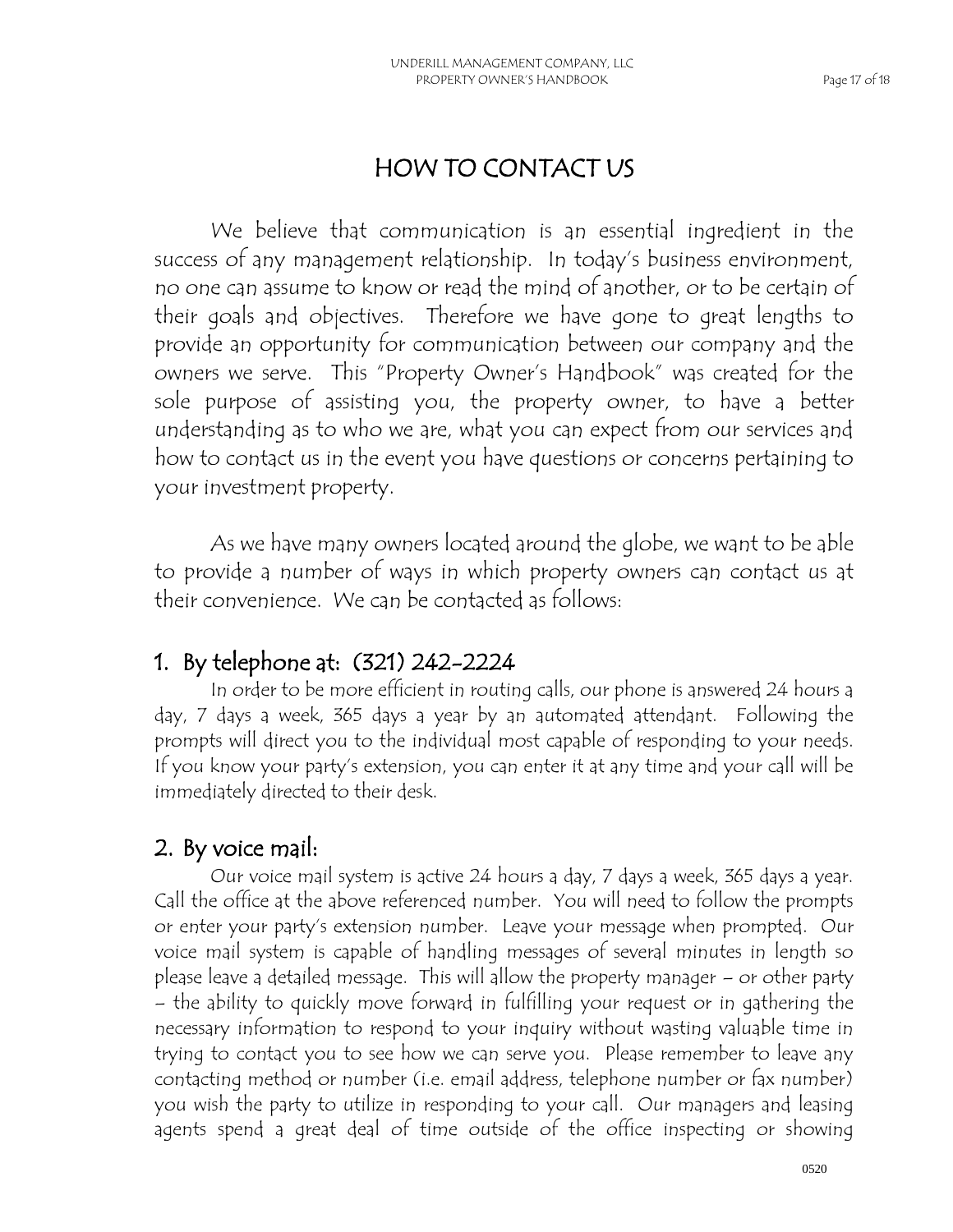## HOW TO CONTACT US

We believe that communication is an essential ingredient in the success of any management relationship. In today's business environment, no one can assume to know or read the mind of another, or to be certain of their goals and objectives. Therefore we have gone to great lengths to provide an opportunity for communication between our company and the owners we serve. This "Property Owner's Handbook" was created for the sole purpose of assisting you, the property owner, to have a better understanding as to who we are, what you can expect from our services and how to contact us in the event you have questions or concerns pertaining to your investment property.

As we have many owners located around the globe, we want to be able to provide a number of ways in which property owners can contact us at their convenience. We can be contacted as follows:

## 1. By telephone at: (321) 242-2224

 In order to be more efficient in routing calls, our phone is answered 24 hours a day, 7 days a week, 365 days a year by an automated attendant. Following the prompts will direct you to the individual most capable of responding to your needs. If you know your party's extension, you can enter it at any time and your call will be immediately directed to their desk.

#### 2. By voice mail:

Our voice mail system is active 24 hours a day, 7 days a week, 365 days a year. Call the office at the above referenced number. You will need to follow the prompts or enter your party's extension number. Leave your message when prompted. Our voice mail system is capable of handling messages of several minutes in length so please leave a detailed message. This will allow the property manager – or other party – the ability to quickly move forward in fulfilling your request or in gathering the necessary information to respond to your inquiry without wasting valuable time in trying to contact you to see how we can serve you. Please remember to leave any contacting method or number (i.e. email address, telephone number or fax number) you wish the party to utilize in responding to your call. Our managers and leasing agents spend a great deal of time outside of the office inspecting or showing